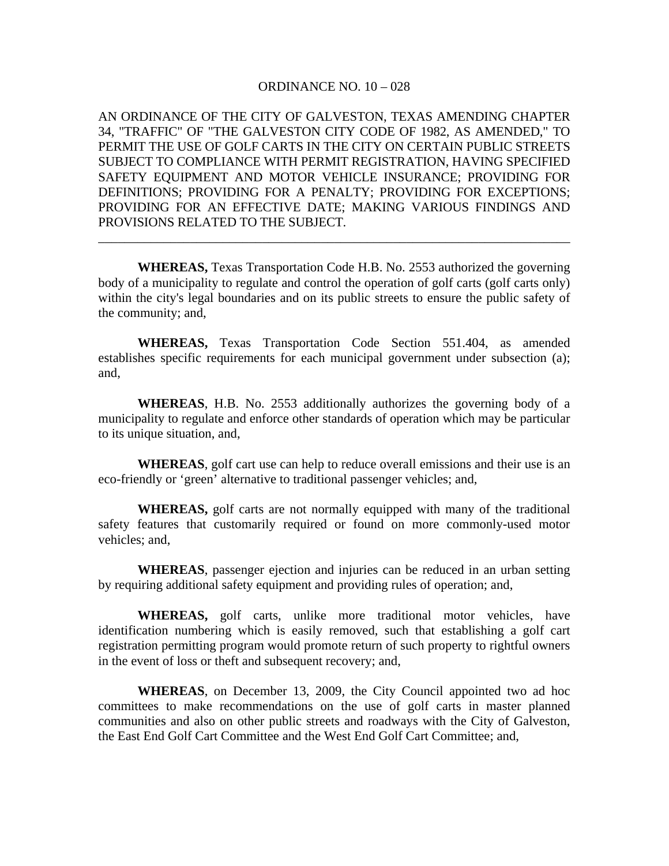## ORDINANCE NO. 10 – 028

AN ORDINANCE OF THE CITY OF GALVESTON, TEXAS AMENDING CHAPTER 34, "TRAFFIC" OF "THE GALVESTON CITY CODE OF 1982, AS AMENDED," TO PERMIT THE USE OF GOLF CARTS IN THE CITY ON CERTAIN PUBLIC STREETS SUBJECT TO COMPLIANCE WITH PERMIT REGISTRATION, HAVING SPECIFIED SAFETY EQUIPMENT AND MOTOR VEHICLE INSURANCE; PROVIDING FOR DEFINITIONS; PROVIDING FOR A PENALTY; PROVIDING FOR EXCEPTIONS; PROVIDING FOR AN EFFECTIVE DATE; MAKING VARIOUS FINDINGS AND PROVISIONS RELATED TO THE SUBJECT.

**WHEREAS,** Texas Transportation Code H.B. No. 2553 authorized the governing body of a municipality to regulate and control the operation of golf carts (golf carts only) within the city's legal boundaries and on its public streets to ensure the public safety of the community; and,

\_\_\_\_\_\_\_\_\_\_\_\_\_\_\_\_\_\_\_\_\_\_\_\_\_\_\_\_\_\_\_\_\_\_\_\_\_\_\_\_\_\_\_\_\_\_\_\_\_\_\_\_\_\_\_\_\_\_\_\_\_\_\_\_\_\_\_\_\_\_\_\_

 **WHEREAS,** Texas Transportation Code Section 551.404, as amended establishes specific requirements for each municipal government under subsection (a); and,

 **WHEREAS**, H.B. No. 2553 additionally authorizes the governing body of a municipality to regulate and enforce other standards of operation which may be particular to its unique situation, and,

**WHEREAS**, golf cart use can help to reduce overall emissions and their use is an eco-friendly or 'green' alternative to traditional passenger vehicles; and,

**WHEREAS,** golf carts are not normally equipped with many of the traditional safety features that customarily required or found on more commonly-used motor vehicles; and,

**WHEREAS**, passenger ejection and injuries can be reduced in an urban setting by requiring additional safety equipment and providing rules of operation; and,

**WHEREAS,** golf carts, unlike more traditional motor vehicles, have identification numbering which is easily removed, such that establishing a golf cart registration permitting program would promote return of such property to rightful owners in the event of loss or theft and subsequent recovery; and,

**WHEREAS**, on December 13, 2009, the City Council appointed two ad hoc committees to make recommendations on the use of golf carts in master planned communities and also on other public streets and roadways with the City of Galveston, the East End Golf Cart Committee and the West End Golf Cart Committee; and,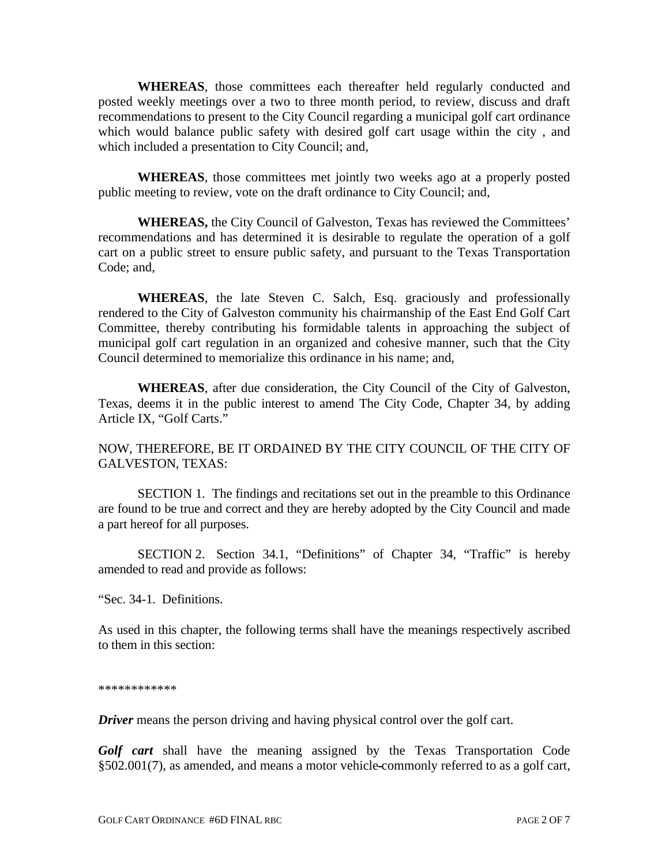**WHEREAS**, those committees each thereafter held regularly conducted and posted weekly meetings over a two to three month period, to review, discuss and draft recommendations to present to the City Council regarding a municipal golf cart ordinance which would balance public safety with desired golf cart usage within the city , and which included a presentation to City Council; and,

**WHEREAS**, those committees met jointly two weeks ago at a properly posted public meeting to review, vote on the draft ordinance to City Council; and,

 **WHEREAS,** the City Council of Galveston, Texas has reviewed the Committees' recommendations and has determined it is desirable to regulate the operation of a golf cart on a public street to ensure public safety, and pursuant to the Texas Transportation Code; and,

**WHEREAS**, the late Steven C. Salch, Esq. graciously and professionally rendered to the City of Galveston community his chairmanship of the East End Golf Cart Committee, thereby contributing his formidable talents in approaching the subject of municipal golf cart regulation in an organized and cohesive manner, such that the City Council determined to memorialize this ordinance in his name; and,

**WHEREAS**, after due consideration, the City Council of the City of Galveston, Texas, deems it in the public interest to amend The City Code, Chapter 34, by adding Article IX, "Golf Carts."

NOW, THEREFORE, BE IT ORDAINED BY THE CITY COUNCIL OF THE CITY OF GALVESTON, TEXAS:

 SECTION 1. The findings and recitations set out in the preamble to this Ordinance are found to be true and correct and they are hereby adopted by the City Council and made a part hereof for all purposes.

 SECTION 2. Section 34.1, "Definitions" of Chapter 34, "Traffic" is hereby amended to read and provide as follows:

"Sec. 34-1. Definitions.

As used in this chapter, the following terms shall have the meanings respectively ascribed to them in this section:

\*\*\*\*\*\*\*\*\*\*\*\*

*Driver* means the person driving and having physical control over the golf cart.

*Golf cart* shall have the meaning assigned by the Texas Transportation Code §502.001(7), as amended, and means a motor vehicle commonly referred to as a golf cart,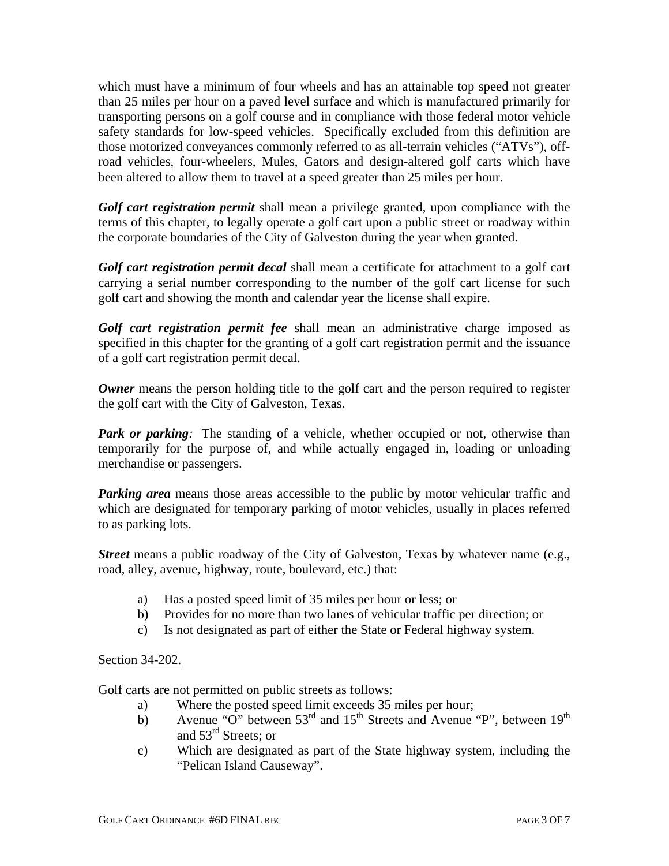which must have a minimum of four wheels and has an attainable top speed not greater than 25 miles per hour on a paved level surface and which is manufactured primarily for transporting persons on a golf course and in compliance with those federal motor vehicle safety standards for low-speed vehicles. Specifically excluded from this definition are those motorized conveyances commonly referred to as all-terrain vehicles ("ATVs"), offroad vehicles, four-wheelers, Mules, Gators-and design-altered golf carts which have been altered to allow them to travel at a speed greater than 25 miles per hour.

*Golf cart registration permit* shall mean a privilege granted, upon compliance with the terms of this chapter, to legally operate a golf cart upon a public street or roadway within the corporate boundaries of the City of Galveston during the year when granted.

*Golf cart registration permit decal* shall mean a certificate for attachment to a golf cart carrying a serial number corresponding to the number of the golf cart license for such golf cart and showing the month and calendar year the license shall expire.

*Golf cart registration permit fee* shall mean an administrative charge imposed as specified in this chapter for the granting of a golf cart registration permit and the issuance of a golf cart registration permit decal.

*Owner* means the person holding title to the golf cart and the person required to register the golf cart with the City of Galveston, Texas.

*Park or parking*: The standing of a vehicle, whether occupied or not, otherwise than temporarily for the purpose of, and while actually engaged in, loading or unloading merchandise or passengers.

*Parking area* means those areas accessible to the public by motor vehicular traffic and which are designated for temporary parking of motor vehicles, usually in places referred to as parking lots.

*Street* means a public roadway of the City of Galveston, Texas by whatever name (e.g., road, alley, avenue, highway, route, boulevard, etc.) that:

- a) Has a posted speed limit of 35 miles per hour or less; or
- b) Provides for no more than two lanes of vehicular traffic per direction; or
- c) Is not designated as part of either the State or Federal highway system.

## Section 34-202.

Golf carts are not permitted on public streets <u>as follows</u>:

- a) Where the posted speed limit exceeds 35 miles per hour;
- b) Avenue "O" between  $53<sup>rd</sup>$  and  $15<sup>th</sup>$  Streets and Avenue "P", between  $19<sup>th</sup>$ and 53rd Streets; or
- c) Which are designated as part of the State highway system, including the "Pelican Island Causeway".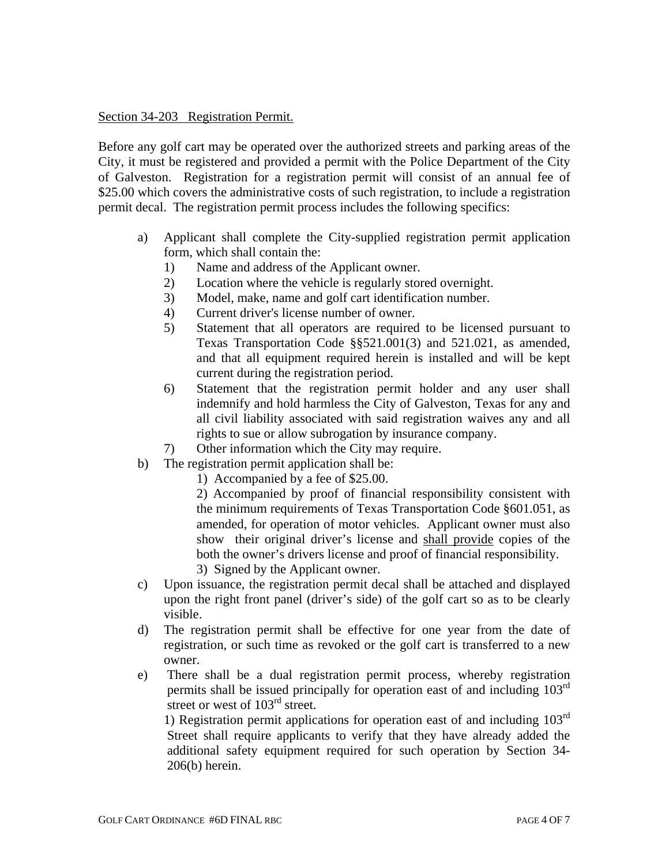## Section 34-203 Registration Permit.

Before any golf cart may be operated over the authorized streets and parking areas of the City, it must be registered and provided a permit with the Police Department of the City of Galveston. Registration for a registration permit will consist of an annual fee of \$25.00 which covers the administrative costs of such registration, to include a registration permit decal. The registration permit process includes the following specifics:

- a) Applicant shall complete the City-supplied registration permit application form, which shall contain the:
	- 1) Name and address of the Applicant owner.
	- 2) Location where the vehicle is regularly stored overnight.
	- 3) Model, make, name and golf cart identification number.
	- 4) Current driver's license number of owner.
	- 5) Statement that all operators are required to be licensed pursuant to Texas Transportation Code §§521.001(3) and 521.021, as amended, and that all equipment required herein is installed and will be kept current during the registration period.
	- 6) Statement that the registration permit holder and any user shall indemnify and hold harmless the City of Galveston, Texas for any and all civil liability associated with said registration waives any and all rights to sue or allow subrogation by insurance company.
	- 7) Other information which the City may require.
- b) The registration permit application shall be:
	- 1) Accompanied by a fee of \$25.00.

 2) Accompanied by proof of financial responsibility consistent with the minimum requirements of Texas Transportation Code §601.051, as amended, for operation of motor vehicles. Applicant owner must also show their original driver's license and shall provide copies of the both the owner's drivers license and proof of financial responsibility. 3) Signed by the Applicant owner.

- c) Upon issuance, the registration permit decal shall be attached and displayed upon the right front panel (driver's side) of the golf cart so as to be clearly visible.
- d) The registration permit shall be effective for one year from the date of registration, or such time as revoked or the golf cart is transferred to a new owner.
- e) There shall be a dual registration permit process, whereby registration permits shall be issued principally for operation east of and including 103rd street or west of 103<sup>rd</sup> street.

1) Registration permit applications for operation east of and including  $103<sup>rd</sup>$ Street shall require applicants to verify that they have already added the additional safety equipment required for such operation by Section 34- 206(b) herein.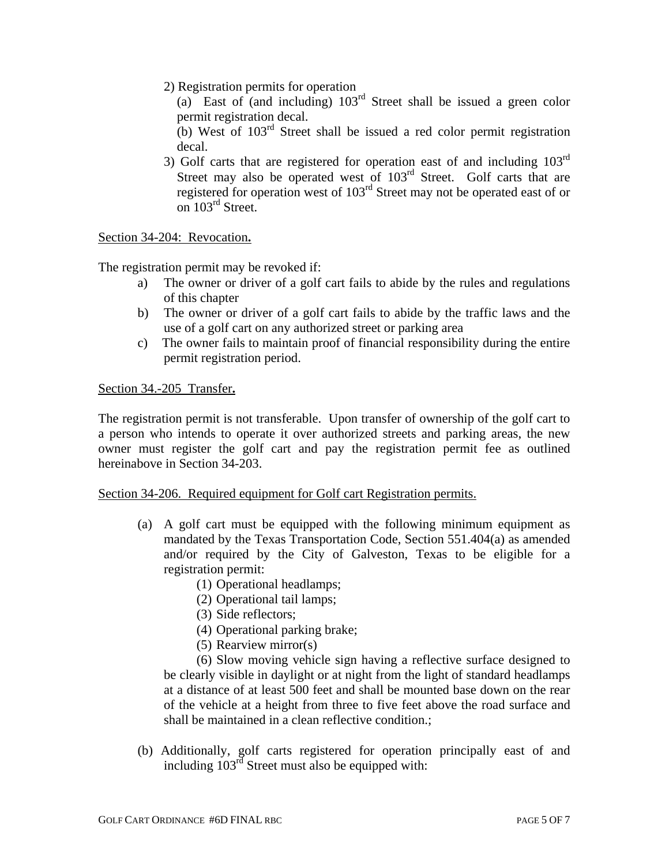2) Registration permits for operation

(a) East of (and including)  $103<sup>rd</sup>$  Street shall be issued a green color permit registration decal.

- (b) West of 103rd Street shall be issued a red color permit registration decal.
- 3) Golf carts that are registered for operation east of and including  $103<sup>rd</sup>$ Street may also be operated west of  $103<sup>rd</sup>$  Street. Golf carts that are registered for operation west of 103rd Street may not be operated east of or on 103<sup>rd</sup> Street.

Section 34-204: Revocation**.**

The registration permit may be revoked if:

- a) The owner or driver of a golf cart fails to abide by the rules and regulations of this chapter
- b) The owner or driver of a golf cart fails to abide by the traffic laws and the use of a golf cart on any authorized street or parking area
- c) The owner fails to maintain proof of financial responsibility during the entire permit registration period.

Section 34.-205 Transfer**.**

The registration permit is not transferable. Upon transfer of ownership of the golf cart to a person who intends to operate it over authorized streets and parking areas, the new owner must register the golf cart and pay the registration permit fee as outlined hereinabove in Section 34-203.

## Section 34-206. Required equipment for Golf cart Registration permits.

- (a) A golf cart must be equipped with the following minimum equipment as mandated by the Texas Transportation Code, Section 551.404(a) as amended and/or required by the City of Galveston, Texas to be eligible for a registration permit:
	- (1) Operational headlamps;
	- (2) Operational tail lamps;
	- (3) Side reflectors;
	- (4) Operational parking brake;
	- (5) Rearview mirror(s)

 (6) Slow moving vehicle sign having a reflective surface designed to be clearly visible in daylight or at night from the light of standard headlamps at a distance of at least 500 feet and shall be mounted base down on the rear of the vehicle at a height from three to five feet above the road surface and shall be maintained in a clean reflective condition.;

 (b) Additionally, golf carts registered for operation principally east of and including 103rd Street must also be equipped with: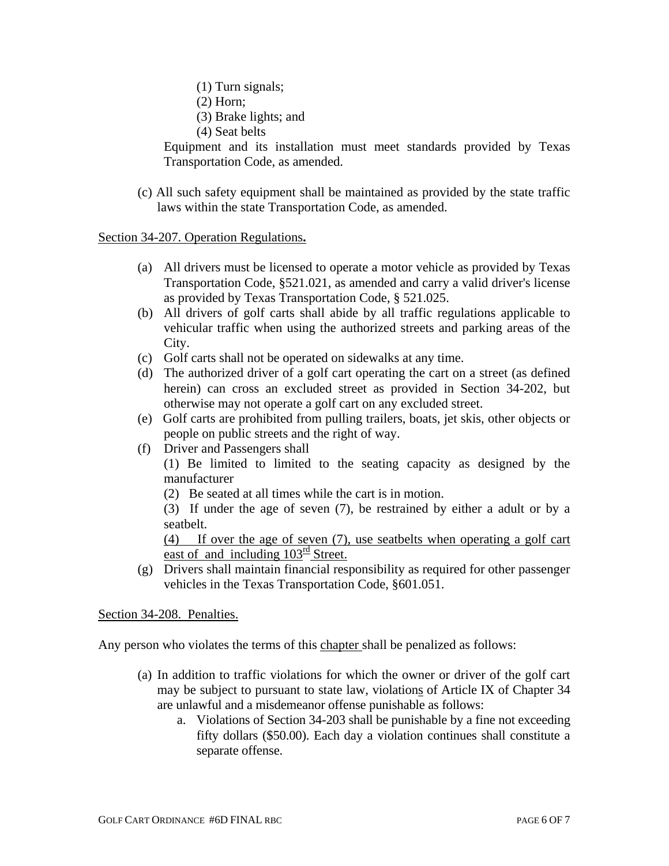- (1) Turn signals;
- (2) Horn;
- (3) Brake lights; and
- (4) Seat belts

 Equipment and its installation must meet standards provided by Texas Transportation Code, as amended.

 (c) All such safety equipment shall be maintained as provided by the state traffic laws within the state Transportation Code, as amended.

Section 34-207. Operation Regulations**.** 

- (a) All drivers must be licensed to operate a motor vehicle as provided by Texas Transportation Code, §521.021, as amended and carry a valid driver's license as provided by Texas Transportation Code, § 521.025.
- (b) All drivers of golf carts shall abide by all traffic regulations applicable to vehicular traffic when using the authorized streets and parking areas of the City.
- (c) Golf carts shall not be operated on sidewalks at any time.
- (d) The authorized driver of a golf cart operating the cart on a street (as defined herein) can cross an excluded street as provided in Section 34-202, but otherwise may not operate a golf cart on any excluded street.
- (e) Golf carts are prohibited from pulling trailers, boats, jet skis, other objects or people on public streets and the right of way.
- (f) Driver and Passengers shall

 (1) Be limited to limited to the seating capacity as designed by the manufacturer

(2) Be seated at all times while the cart is in motion.

 (3) If under the age of seven (7), be restrained by either a adult or by a seatbelt.

 (4) If over the age of seven (7), use seatbelts when operating a golf cart east of and including  $103^{\text{rd}}$  Street.

 (g) Drivers shall maintain financial responsibility as required for other passenger vehicles in the Texas Transportation Code, §601.051.

Section 34-208. Penalties.

Any person who violates the terms of this chapter shall be penalized as follows:

- (a) In addition to traffic violations for which the owner or driver of the golf cart may be subject to pursuant to state law, violations of Article IX of Chapter 34 are unlawful and a misdemeanor offense punishable as follows:
	- a. Violations of Section 34-203 shall be punishable by a fine not exceeding fifty dollars (\$50.00). Each day a violation continues shall constitute a separate offense.